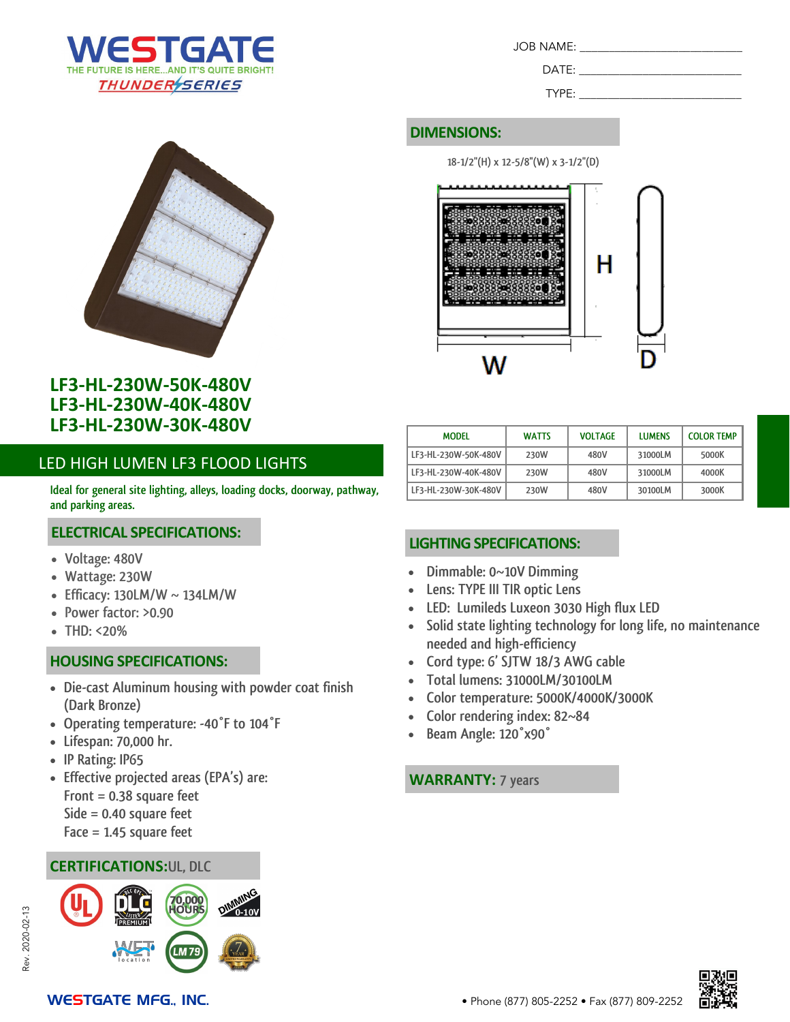



## **LF3-HL-230W-50K-480V LF3-HL-230W-40K-480V LF3-HL-230W-30K-480V**

## LED HIGH LUMEN LF3 FLOOD LIGHTS

**Ideal for general site lighting, alleys, loading docks, doorway, pathway, and parking areas.**

#### **ELECTRICAL SPECIFICATIONS:**

- **Voltage: 480V**
- **Wattage: 230W**
- **Efficacy: 130LM/W ~ 134LM/W**
- **Power factor: >0.90**
- **THD: <20%**

## **HOUSING SPECIFICATIONS:**

- **Die-cast Aluminum housing with powder coat finish (Dark Bronze)**
- **Operating temperature: -40°F to 104°F**
- **Lifespan: 70,000 hr.**
- **IP Rating: IP65**
- **Effective projected areas (EPA's) are: Front = 0.38 square feet Side = 0.40 square feet Face = 1.45 square feet**

## **CERTIFICATIONS:UL, DLC**



| JOB NAME: |  |
|-----------|--|
| DATF:     |  |

TYPE:

#### **DIMENSIONS:**

**18-1/2"(H) x 12-5/8"(W) x 3-1/2"(D)**



| <b>MODEL</b>         | <b>WATTS</b> | <b>VOLTAGE</b> | <b>LUMENS</b> | <b>COLOR TEMP</b> |
|----------------------|--------------|----------------|---------------|-------------------|
| LF3-HL-230W-50K-480V | 230W         | 480V           | 31000LM       | 5000K             |
| LF3-HL-230W-40K-480V | 230W         | 480V           | 31000LM       | 4000K             |
| LF3-HL-230W-30K-480V | 230W         | 480V           | 30100LM       | 3000K             |

## **LIGHTING SPECIFICATIONS:**

- **Dimmable: 0~10V Dimming**
- **Lens: TYPE III TIR optic Lens**
- **LED: Lumileds Luxeon 3030 High flux LED**
- **Solid state lighting technology for long life, no maintenance needed and high-efficiency**
- **Cord type: 6' SJTW 18/3 AWG cable**
- **Total lumens: 31000LM/30100LM**
- **Color temperature: 5000K/4000K/3000K**
- **Color rendering index: 82~84**
- **Beam Angle: 120°x90°**

#### **WARRANTY: 7 years**

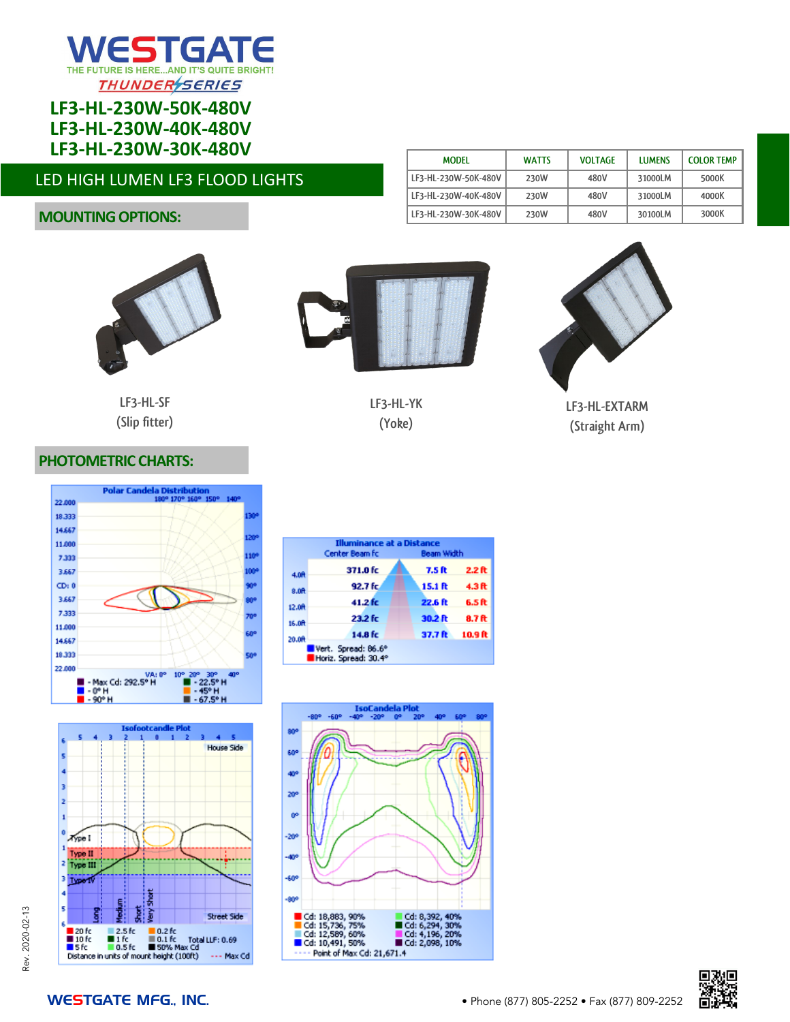

## **LF3-HL-230W-50K-480V LF3-HL-230W-40K-480V LF3-HL-230W-30K-480V**

## LED HIGH LUMEN LF3 FLOOD LIGHTS

## **MOUNTING OPTIONS:**



**LF3-HL-SF (Slip fitter)**



**LF3-HL-YK (Yoke)**



**MODEL WATTS VOLTAGE LUMENS COLOR TEMP**

**LF3-HL-230W-50K-480V 230W 480V 31000LM 5000K**

**LF3-HL-EXTARM (Straight Arm)**

#### **PHOTOMETRIC CHARTS:**



|        | <b>Illuminance at a Distance</b>            |            |                   |  |
|--------|---------------------------------------------|------------|-------------------|--|
|        | Center Beam fc                              | Beam Width |                   |  |
| 4.0R   | 371.0 fc                                    | 7.5 ft     | 2.2 <sub>ft</sub> |  |
| 8.07   | 92.7 fc                                     | 15.1 ft    | 4.3 ft            |  |
| 12.0R  | 41.2 fc                                     | 22.6 ft    | 6.5 ft            |  |
| 16.0ft | 23.2 fc                                     | 30.2 ft    | 8.7 ft            |  |
| 20.0A  | 14.8 fc                                     | 37.7 ft    | 10.9 ft           |  |
|        | Vert. Spread: 86.6°<br>Horiz. Spread: 30.4° |            |                   |  |